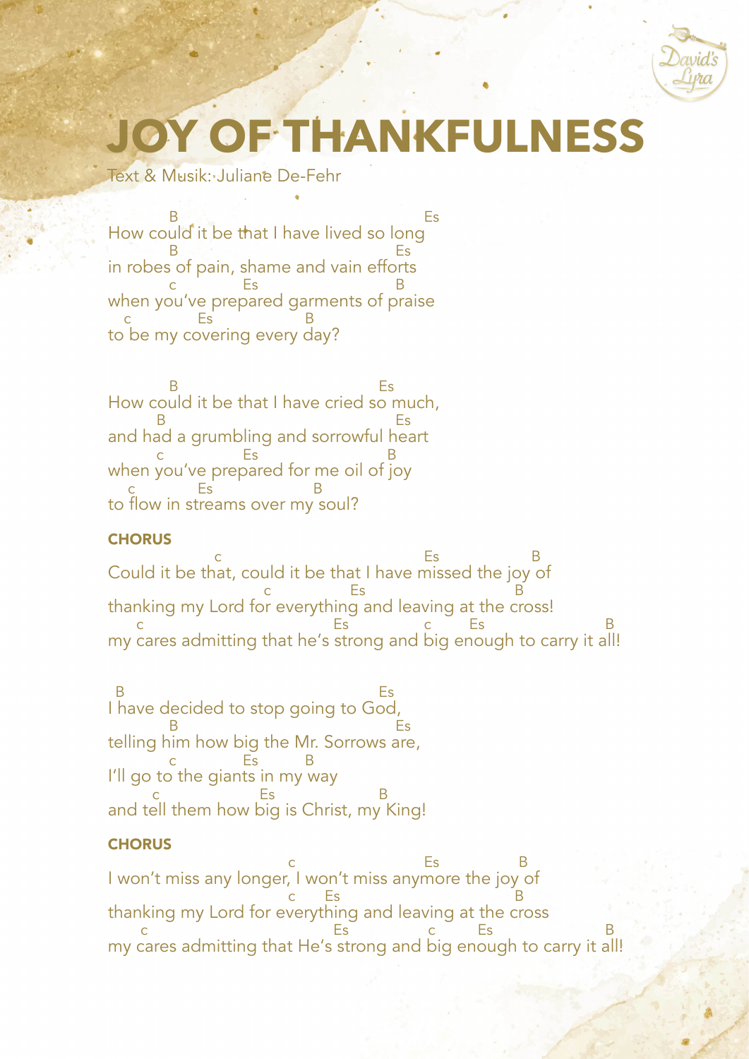

# **JOY OF THANKFULNESS**

Text & Musik: Juliane De-Fehr

How could it be that I have lived so long in robes of pain, shame and vain efforts when you've prepared garments of praise to be my covering every day? B **B** Estate of the B Estate of the B Estate of the Estate of the Estate of the Estate of the Estate of the Estate of the Estate of the Estate of the Estate of the Estate of the Estate of the Estate of the Estate of the Es B Estate and the Estate and the Estate and the Es c Es B c Es B

How could it be that I have cried so much, and had a grumbling and sorrowful heart when you've prepared for me oil of joy to flow in streams over my soul? B Es B Estate of the Contract of the Estate of the Estate of the Estate of the Estate of the Estate of the Estate of the Estate of the Estate of the Estate of the Estate of the Estate of the Estate of the Estate of the Estate o c Es B c Es B

### **CHORUS**

Could it be that, could it be that I have missed the joy of thanking my Lord for everything and leaving at the cross! my cares admitting that he's strong and big enough to carry it all! c extended by Estate B c Es B c Es c Es B

I have decided to stop going to God, telling him how big the Mr. Sorrows are, I'll go to the giants in my way and tell them how big is Christ, my King! B Established Established Established Established Established Established Established Established Established Established Established Established Established Established Established Established Established Established Esta B Established Established Established Established Established Established Established Established Established Established Established Established Established Established Established Established Established Established Esta c Es B c Bs B

## **CHORUS**

I won't miss any longer, I won't miss anymore the joy of thanking my Lord for everything and leaving at the cross my cares admitting that He's strong and big enough to carry it all! c extended by Estate B c Es B c Es c Es B